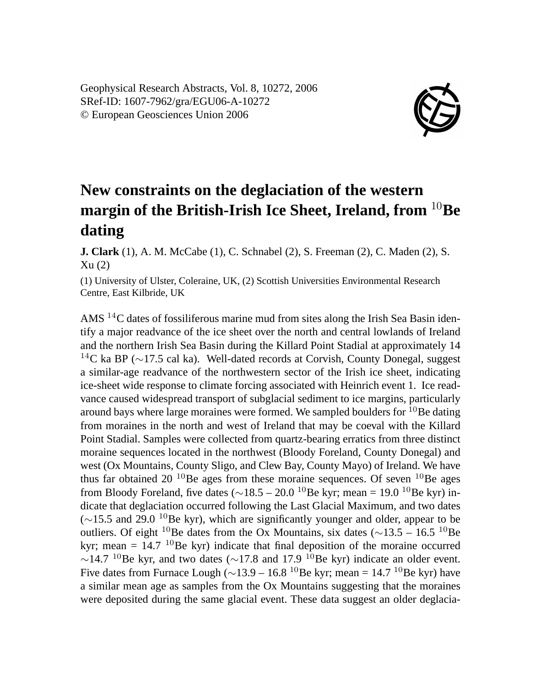Geophysical Research Abstracts, Vol. 8, 10272, 2006 SRef-ID: 1607-7962/gra/EGU06-A-10272 © European Geosciences Union 2006



## **New constraints on the deglaciation of the western margin of the British-Irish Ice Sheet, Ireland, from** <sup>10</sup>**Be dating**

**J. Clark** (1), A. M. McCabe (1), C. Schnabel (2), S. Freeman (2), C. Maden (2), S. Xu (2)

(1) University of Ulster, Coleraine, UK, (2) Scottish Universities Environmental Research Centre, East Kilbride, UK

AMS <sup>14</sup>C dates of fossiliferous marine mud from sites along the Irish Sea Basin identify a major readvance of the ice sheet over the north and central lowlands of Ireland and the northern Irish Sea Basin during the Killard Point Stadial at approximately 14 <sup>14</sup>C ka BP ( $\sim$ 17.5 cal ka). Well-dated records at Corvish, County Donegal, suggest a similar-age readvance of the northwestern sector of the Irish ice sheet, indicating ice-sheet wide response to climate forcing associated with Heinrich event 1. Ice readvance caused widespread transport of subglacial sediment to ice margins, particularly around bays where large moraines were formed. We sampled boulders for  $10B$ e dating from moraines in the north and west of Ireland that may be coeval with the Killard Point Stadial. Samples were collected from quartz-bearing erratics from three distinct moraine sequences located in the northwest (Bloody Foreland, County Donegal) and west (Ox Mountains, County Sligo, and Clew Bay, County Mayo) of Ireland. We have thus far obtained 20  $^{10}$ Be ages from these moraine sequences. Of seven  $^{10}$ Be ages from Bloody Foreland, five dates ( $\sim$ 18.5 – 20.0 <sup>10</sup>Be kyr; mean = 19.0 <sup>10</sup>Be kyr) indicate that deglaciation occurred following the Last Glacial Maximum, and two dates  $(\sim 15.5$  and 29.0 <sup>10</sup>Be kyr), which are significantly younger and older, appear to be outliers. Of eight <sup>10</sup>Be dates from the Ox Mountains, six dates ( $\sim$ 13.5 – 16.5 <sup>10</sup>Be kyr; mean =  $14.7 \text{ }^{10}$ Be kyr) indicate that final deposition of the moraine occurred  $\sim$ 14.7 <sup>10</sup>Be kyr, and two dates ( $\sim$ 17.8 and 17.9 <sup>10</sup>Be kyr) indicate an older event. Five dates from Furnace Lough ( $\sim$ 13.9 – 16.8 <sup>10</sup>Be kyr; mean = 14.7 <sup>10</sup>Be kyr) have a similar mean age as samples from the Ox Mountains suggesting that the moraines were deposited during the same glacial event. These data suggest an older deglacia